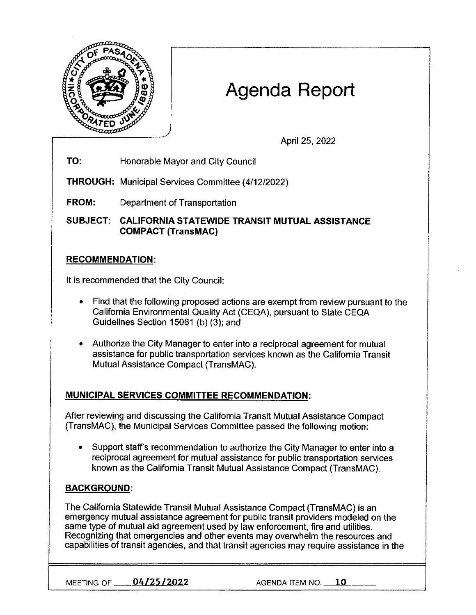

# **Agenda Report**

April 25, 2022

**TO:** Honorable Mayor and City Council

**THROUGH:** Municipal Services Committee (4/12/2022)

**FROM:** Department of Transportation

**SUBJECT: CALIFORNIA STATEWIDE TRANSIT MUTUAL ASSISTANCE COMPACT (TransMAC)** 

## **RECOMMENDATION:**

It is recommended that the City Council:

- Find that the following proposed actions are exempt from review pursuant to the California Environmental Quality Act (CEQA), pursuant to State CEQA Guidelines Section 15061 (b) (3); and
- Authorize the City Manager to enter into a reciprocal agreement for mutual assistance for public transportation services known as the California Transit Mutual Assistance Compact (TransMAC).

## **MUNICIPAL SERVICES COMMITTEE RECOMMENDATION:**

After reviewing and discussing the California Transit Mutual Assistance Compact (TransMAC), the Municipal Services Committee passed the following motion:

• Support staff's recommendation to authorize the City Manager to enter into a reciprocal agreement for mutual assistance for public transportation services known as the California Transit Mutual Assistance Compact (TransMAC).

## **BACKGROUND:**

The California Statewide Transit Mutual Assistance Compact (TransMAC) is an emergency mutual assistance agreement for public transit providers modeled on the same type of mutual aid agreement used by law enforcement, fire and utilities. Recognizing that emergencies and other events may overwhelm the resources and capabilities of transit agencies, and that transit agencies may require assistance in the

**MEETING OF 04/25/2022 AGENDA ITEM NO. 10**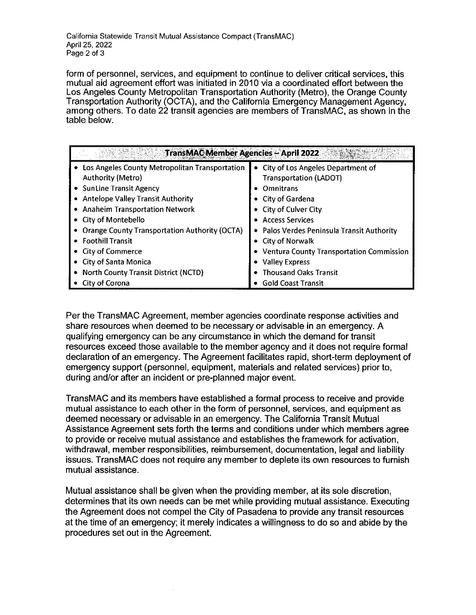California Statewide Transit Mutual Assistance Compact (TransMAC) April 25, 2022 Page 2 of 3

form of personnel, services, and equipment to continue to deliver critical services, this mutual aid agreement effort was initiated in 2010 via a coordinated effort between the Los Angeles County Metropolitan Transportation Authority (Metro), the Orange County Transportation Authority (OCTA), and the California Emergency Management Agency, among others. To date 22 transit agencies are members of TransMAC, as shown in the table below.

| <b>TransMAC Member Agencies - April 2022</b>         |                                            |
|------------------------------------------------------|--------------------------------------------|
| Los Angeles County Metropolitan Transportation       | City of Los Angeles Department of          |
| <b>Authority (Metro)</b>                             | <b>Transportation (LADOT)</b>              |
| • SunLine Transit Agency                             | <b>Omnitrans</b>                           |
| • Antelope Valley Transit Authority                  | • City of Gardena                          |
| • Anaheim Transportation Network                     | • City of Culver City                      |
| • City of Montebello                                 | • Access Services                          |
| <b>Orange County Transportation Authority (OCTA)</b> | • Palos Verdes Peninsula Transit Authority |
| • Foothill Transit                                   | • City of Norwalk                          |
| City of Commerce                                     | • Ventura County Transportation Commission |
| <b>City of Santa Monica</b>                          | • Valley Express                           |
| • North County Transit District (NCTD)               | • Thousand Oaks Transit                    |
| City of Corona                                       | <b>Gold Coast Transit</b>                  |

Per the TransMAC Agreement, member agencies coordinate response activities and share resources when deemed to be necessary or advisable in an emergency. A qualifying emergency can be any circumstance in which the demand for transit resources exceed those available to the member agency and it does not require formal declaration of an emergency. The Agreement facilitates rapid, short-term deployment of emergency support (personnel, equipment, materials and related services) prior to, during and/or after an incident or pre-planned major event.

TransMAC and its members have established a formal process to receive and provide mutual assistance to each other in the form of personnel, services, and equipment as deemed necessary or advisable in an emergency. The California Transit Mutual Assistance Agreement sets forth the terms and conditions under which members agree to provide or receive mutual assistance and establishes the framework for activation, withdrawal, member responsibilities, reimbursement, documentation, legal and liability issues. TransMAC does not require any member to deplete its own resources to furnish mutual assistance.

Mutual assistance shall be given when the providing member, at its sole discretion, determines that its own needs can be met while providing mutual assistance. Executing the Agreement does not compel the City of Pasadena to provide any transit resources at the time of an emergency; it merely indicates a willingness to do so and abide by the procedures set out in the Agreement.